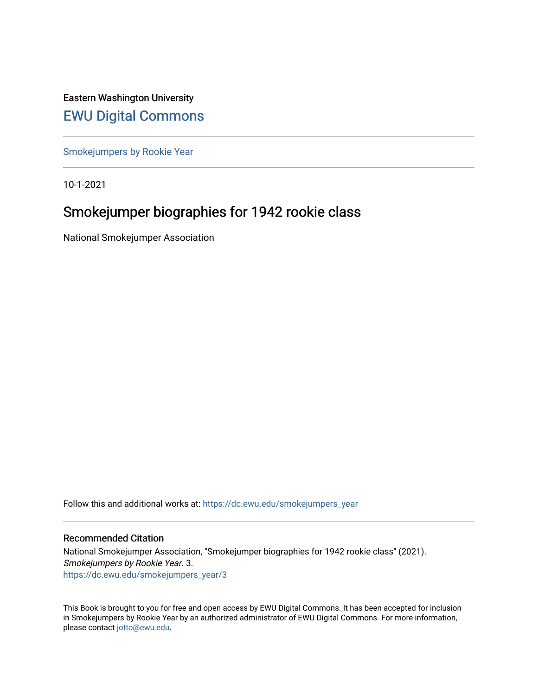Eastern Washington University [EWU Digital Commons](https://dc.ewu.edu/)

[Smokejumpers by Rookie Year](https://dc.ewu.edu/smokejumpers_year)

10-1-2021

# Smokejumper biographies for 1942 rookie class

National Smokejumper Association

Follow this and additional works at: [https://dc.ewu.edu/smokejumpers\\_year](https://dc.ewu.edu/smokejumpers_year?utm_source=dc.ewu.edu%2Fsmokejumpers_year%2F3&utm_medium=PDF&utm_campaign=PDFCoverPages) 

#### Recommended Citation

National Smokejumper Association, "Smokejumper biographies for 1942 rookie class" (2021). Smokejumpers by Rookie Year. 3. [https://dc.ewu.edu/smokejumpers\\_year/3](https://dc.ewu.edu/smokejumpers_year/3?utm_source=dc.ewu.edu%2Fsmokejumpers_year%2F3&utm_medium=PDF&utm_campaign=PDFCoverPages)

This Book is brought to you for free and open access by EWU Digital Commons. It has been accepted for inclusion in Smokejumpers by Rookie Year by an authorized administrator of EWU Digital Commons. For more information, please contact [jotto@ewu.edu](mailto:jotto@ewu.edu).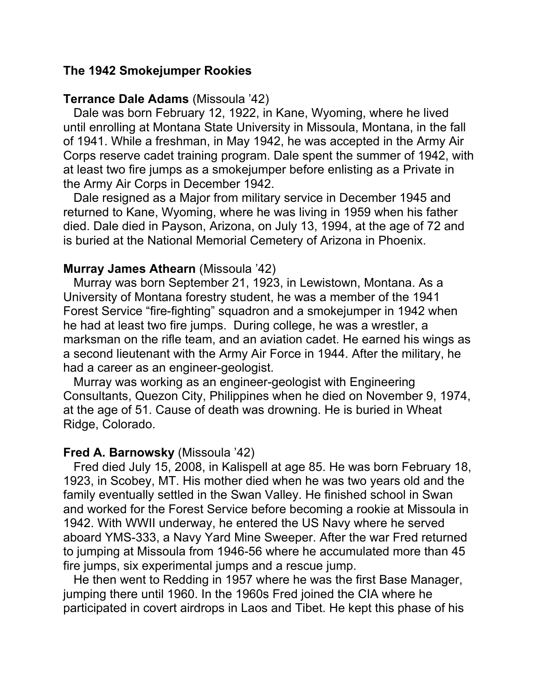## **The 1942 Smokejumper Rookies**

### **Terrance Dale Adams** (Missoula '42)

 Dale was born February 12, 1922, in Kane, Wyoming, where he lived until enrolling at Montana State University in Missoula, Montana, in the fall of 1941. While a freshman, in May 1942, he was accepted in the Army Air Corps reserve cadet training program. Dale spent the summer of 1942, with at least two fire jumps as a smokejumper before enlisting as a Private in the Army Air Corps in December 1942.

 Dale resigned as a Major from military service in December 1945 and returned to Kane, Wyoming, where he was living in 1959 when his father died. Dale died in Payson, Arizona, on July 13, 1994, at the age of 72 and is buried at the National Memorial Cemetery of Arizona in Phoenix.

### **Murray James Athearn** (Missoula '42)

 Murray was born September 21, 1923, in Lewistown, Montana. As a University of Montana forestry student, he was a member of the 1941 Forest Service "fire-fighting" squadron and a smokejumper in 1942 when he had at least two fire jumps. During college, he was a wrestler, a marksman on the rifle team, and an aviation cadet. He earned his wings as a second lieutenant with the Army Air Force in 1944. After the military, he had a career as an engineer-geologist.

 Murray was working as an engineer-geologist with Engineering Consultants, Quezon City, Philippines when he died on November 9, 1974, at the age of 51. Cause of death was drowning. He is buried in Wheat Ridge, Colorado.

## **Fred A. Barnowsky** (Missoula '42)

 Fred died July 15, 2008, in Kalispell at age 85. He was born February 18, 1923, in Scobey, MT. His mother died when he was two years old and the family eventually settled in the Swan Valley. He finished school in Swan and worked for the Forest Service before becoming a rookie at Missoula in 1942. With WWII underway, he entered the US Navy where he served aboard YMS-333, a Navy Yard Mine Sweeper. After the war Fred returned to jumping at Missoula from 1946-56 where he accumulated more than 45 fire jumps, six experimental jumps and a rescue jump.

 He then went to Redding in 1957 where he was the first Base Manager, jumping there until 1960. In the 1960s Fred joined the CIA where he participated in covert airdrops in Laos and Tibet. He kept this phase of his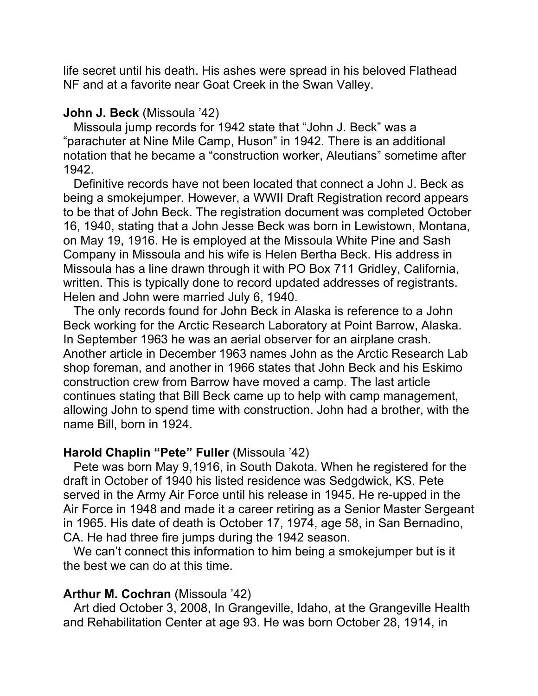life secret until his death. His ashes were spread in his beloved Flathead NF and at a favorite near Goat Creek in the Swan Valley.

### **John J. Beck** (Missoula '42)

 Missoula jump records for 1942 state that "John J. Beck" was a "parachuter at Nine Mile Camp, Huson" in 1942. There is an additional notation that he became a "construction worker, Aleutians" sometime after 1942.

 Definitive records have not been located that connect a John J. Beck as being a smokejumper. However, a WWII Draft Registration record appears to be that of John Beck. The registration document was completed October 16, 1940, stating that a John Jesse Beck was born in Lewistown, Montana, on May 19, 1916. He is employed at the Missoula White Pine and Sash Company in Missoula and his wife is Helen Bertha Beck. His address in Missoula has a line drawn through it with PO Box 711 Gridley, California, written. This is typically done to record updated addresses of registrants. Helen and John were married July 6, 1940.

 The only records found for John Beck in Alaska is reference to a John Beck working for the Arctic Research Laboratory at Point Barrow, Alaska. In September 1963 he was an aerial observer for an airplane crash. Another article in December 1963 names John as the Arctic Research Lab shop foreman, and another in 1966 states that John Beck and his Eskimo construction crew from Barrow have moved a camp. The last article continues stating that Bill Beck came up to help with camp management, allowing John to spend time with construction. John had a brother, with the name Bill, born in 1924.

## **Harold Chaplin "Pete" Fuller** (Missoula '42)

 Pete was born May 9,1916, in South Dakota. When he registered for the draft in October of 1940 his listed residence was Sedgdwick, KS. Pete served in the Army Air Force until his release in 1945. He re-upped in the Air Force in 1948 and made it a career retiring as a Senior Master Sergeant in 1965. His date of death is October 17, 1974, age 58, in San Bernadino, CA. He had three fire jumps during the 1942 season.

 We can't connect this information to him being a smokejumper but is it the best we can do at this time.

## **Arthur M. Cochran** (Missoula '42)

 Art died October 3, 2008, In Grangeville, Idaho, at the Grangeville Health and Rehabilitation Center at age 93. He was born October 28, 1914, in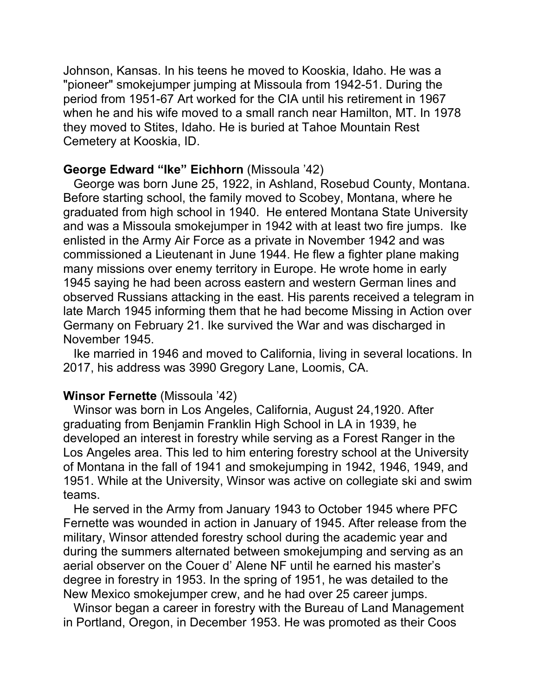Johnson, Kansas. In his teens he moved to Kooskia, Idaho. He was a "pioneer" smokejumper jumping at Missoula from 1942-51. During the period from 1951-67 Art worked for the CIA until his retirement in 1967 when he and his wife moved to a small ranch near Hamilton, MT. In 1978 they moved to Stites, Idaho. He is buried at Tahoe Mountain Rest Cemetery at Kooskia, ID.

### **George Edward "Ike" Eichhorn** (Missoula '42)

 George was born June 25, 1922, in Ashland, Rosebud County, Montana. Before starting school, the family moved to Scobey, Montana, where he graduated from high school in 1940. He entered Montana State University and was a Missoula smokejumper in 1942 with at least two fire jumps. Ike enlisted in the Army Air Force as a private in November 1942 and was commissioned a Lieutenant in June 1944. He flew a fighter plane making many missions over enemy territory in Europe. He wrote home in early 1945 saying he had been across eastern and western German lines and observed Russians attacking in the east. His parents received a telegram in late March 1945 informing them that he had become Missing in Action over Germany on February 21. Ike survived the War and was discharged in November 1945.

 Ike married in 1946 and moved to California, living in several locations. In 2017, his address was 3990 Gregory Lane, Loomis, CA.

## **Winsor Fernette** (Missoula '42)

 Winsor was born in Los Angeles, California, August 24,1920. After graduating from Benjamin Franklin High School in LA in 1939, he developed an interest in forestry while serving as a Forest Ranger in the Los Angeles area. This led to him entering forestry school at the University of Montana in the fall of 1941 and smokejumping in 1942, 1946, 1949, and 1951. While at the University, Winsor was active on collegiate ski and swim teams.

 He served in the Army from January 1943 to October 1945 where PFC Fernette was wounded in action in January of 1945. After release from the military, Winsor attended forestry school during the academic year and during the summers alternated between smokejumping and serving as an aerial observer on the Couer d' Alene NF until he earned his master's degree in forestry in 1953. In the spring of 1951, he was detailed to the New Mexico smokejumper crew, and he had over 25 career jumps.

 Winsor began a career in forestry with the Bureau of Land Management in Portland, Oregon, in December 1953. He was promoted as their Coos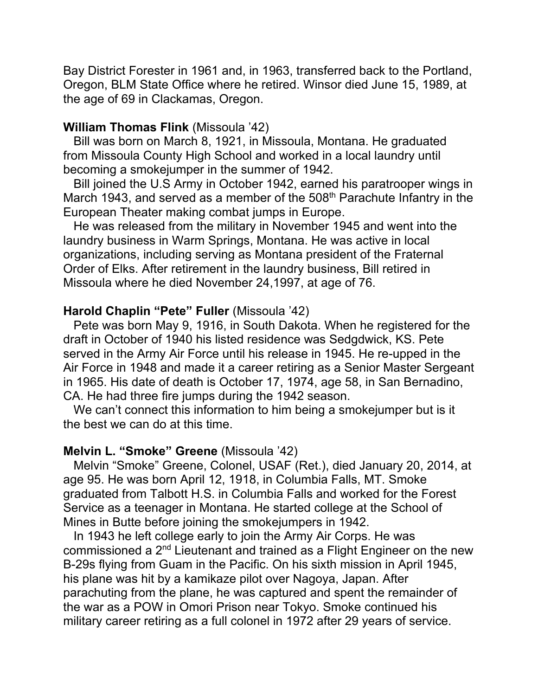Bay District Forester in 1961 and, in 1963, transferred back to the Portland, Oregon, BLM State Office where he retired. Winsor died June 15, 1989, at the age of 69 in Clackamas, Oregon.

#### **William Thomas Flink** (Missoula '42)

 Bill was born on March 8, 1921, in Missoula, Montana. He graduated from Missoula County High School and worked in a local laundry until becoming a smokejumper in the summer of 1942.

 Bill joined the U.S Army in October 1942, earned his paratrooper wings in March 1943, and served as a member of the 508<sup>th</sup> Parachute Infantry in the European Theater making combat jumps in Europe.

 He was released from the military in November 1945 and went into the laundry business in Warm Springs, Montana. He was active in local organizations, including serving as Montana president of the Fraternal Order of Elks. After retirement in the laundry business, Bill retired in Missoula where he died November 24,1997, at age of 76.

## **Harold Chaplin "Pete" Fuller** (Missoula '42)

 Pete was born May 9, 1916, in South Dakota. When he registered for the draft in October of 1940 his listed residence was Sedgdwick, KS. Pete served in the Army Air Force until his release in 1945. He re-upped in the Air Force in 1948 and made it a career retiring as a Senior Master Sergeant in 1965. His date of death is October 17, 1974, age 58, in San Bernadino, CA. He had three fire jumps during the 1942 season.

 We can't connect this information to him being a smokejumper but is it the best we can do at this time.

#### **Melvin L. "Smoke" Greene** (Missoula '42)

 Melvin "Smoke" Greene, Colonel, USAF (Ret.), died January 20, 2014, at age 95. He was born April 12, 1918, in Columbia Falls, MT. Smoke graduated from Talbott H.S. in Columbia Falls and worked for the Forest Service as a teenager in Montana. He started college at the School of Mines in Butte before joining the smokejumpers in 1942.

 In 1943 he left college early to join the Army Air Corps. He was commissioned a 2nd Lieutenant and trained as a Flight Engineer on the new B-29s flying from Guam in the Pacific. On his sixth mission in April 1945, his plane was hit by a kamikaze pilot over Nagoya, Japan. After parachuting from the plane, he was captured and spent the remainder of the war as a POW in Omori Prison near Tokyo. Smoke continued his military career retiring as a full colonel in 1972 after 29 years of service.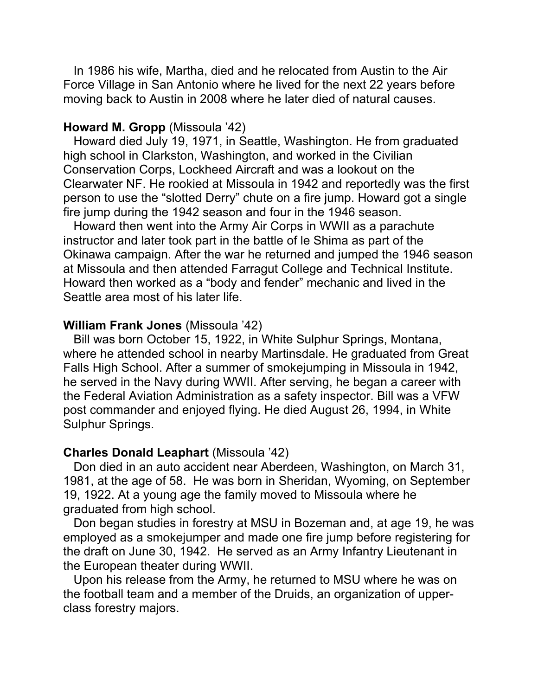In 1986 his wife, Martha, died and he relocated from Austin to the Air Force Village in San Antonio where he lived for the next 22 years before moving back to Austin in 2008 where he later died of natural causes.

#### **Howard M. Gropp** (Missoula '42)

 Howard died July 19, 1971, in Seattle, Washington. He from graduated high school in Clarkston, Washington, and worked in the Civilian Conservation Corps, Lockheed Aircraft and was a lookout on the Clearwater NF. He rookied at Missoula in 1942 and reportedly was the first person to use the "slotted Derry" chute on a fire jump. Howard got a single fire jump during the 1942 season and four in the 1946 season.

 Howard then went into the Army Air Corps in WWII as a parachute instructor and later took part in the battle of le Shima as part of the Okinawa campaign. After the war he returned and jumped the 1946 season at Missoula and then attended Farragut College and Technical Institute. Howard then worked as a "body and fender" mechanic and lived in the Seattle area most of his later life.

#### **William Frank Jones** (Missoula '42)

 Bill was born October 15, 1922, in White Sulphur Springs, Montana, where he attended school in nearby Martinsdale. He graduated from Great Falls High School. After a summer of smokejumping in Missoula in 1942, he served in the Navy during WWII. After serving, he began a career with the Federal Aviation Administration as a safety inspector. Bill was a VFW post commander and enjoyed flying. He died August 26, 1994, in White Sulphur Springs.

#### **Charles Donald Leaphart** (Missoula '42)

 Don died in an auto accident near Aberdeen, Washington, on March 31, 1981, at the age of 58. He was born in Sheridan, Wyoming, on September 19, 1922. At a young age the family moved to Missoula where he graduated from high school.

 Don began studies in forestry at MSU in Bozeman and, at age 19, he was employed as a smokejumper and made one fire jump before registering for the draft on June 30, 1942. He served as an Army Infantry Lieutenant in the European theater during WWII.

 Upon his release from the Army, he returned to MSU where he was on the football team and a member of the Druids, an organization of upperclass forestry majors.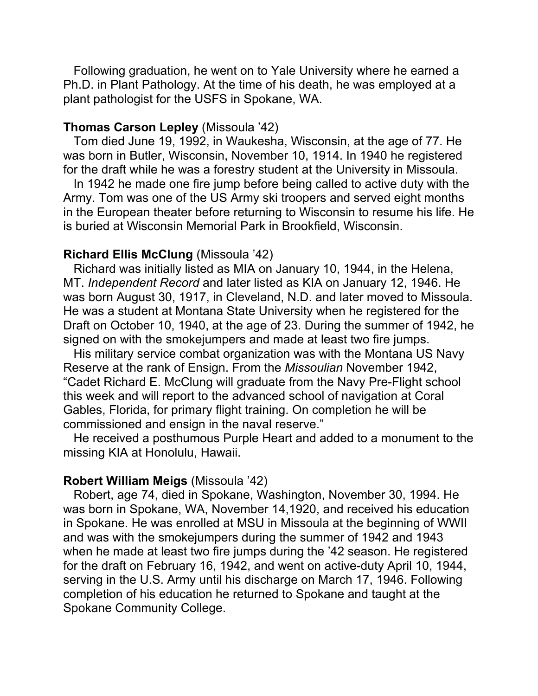Following graduation, he went on to Yale University where he earned a Ph.D. in Plant Pathology. At the time of his death, he was employed at a plant pathologist for the USFS in Spokane, WA.

### **Thomas Carson Lepley** (Missoula '42)

 Tom died June 19, 1992, in Waukesha, Wisconsin, at the age of 77. He was born in Butler, Wisconsin, November 10, 1914. In 1940 he registered for the draft while he was a forestry student at the University in Missoula.

 In 1942 he made one fire jump before being called to active duty with the Army. Tom was one of the US Army ski troopers and served eight months in the European theater before returning to Wisconsin to resume his life. He is buried at Wisconsin Memorial Park in Brookfield, Wisconsin.

### **Richard Ellis McClung** (Missoula '42)

 Richard was initially listed as MIA on January 10, 1944, in the Helena, MT. *Independent Record* and later listed as KIA on January 12, 1946. He was born August 30, 1917, in Cleveland, N.D. and later moved to Missoula. He was a student at Montana State University when he registered for the Draft on October 10, 1940, at the age of 23. During the summer of 1942, he signed on with the smokejumpers and made at least two fire jumps.

 His military service combat organization was with the Montana US Navy Reserve at the rank of Ensign. From the *Missoulian* November 1942, "Cadet Richard E. McClung will graduate from the Navy Pre-Flight school this week and will report to the advanced school of navigation at Coral Gables, Florida, for primary flight training. On completion he will be commissioned and ensign in the naval reserve."

 He received a posthumous Purple Heart and added to a monument to the missing KIA at Honolulu, Hawaii.

#### **Robert William Meigs** (Missoula '42)

 Robert, age 74, died in Spokane, Washington, November 30, 1994. He was born in Spokane, WA, November 14,1920, and received his education in Spokane. He was enrolled at MSU in Missoula at the beginning of WWII and was with the smokejumpers during the summer of 1942 and 1943 when he made at least two fire jumps during the '42 season. He registered for the draft on February 16, 1942, and went on active-duty April 10, 1944, serving in the U.S. Army until his discharge on March 17, 1946. Following completion of his education he returned to Spokane and taught at the Spokane Community College.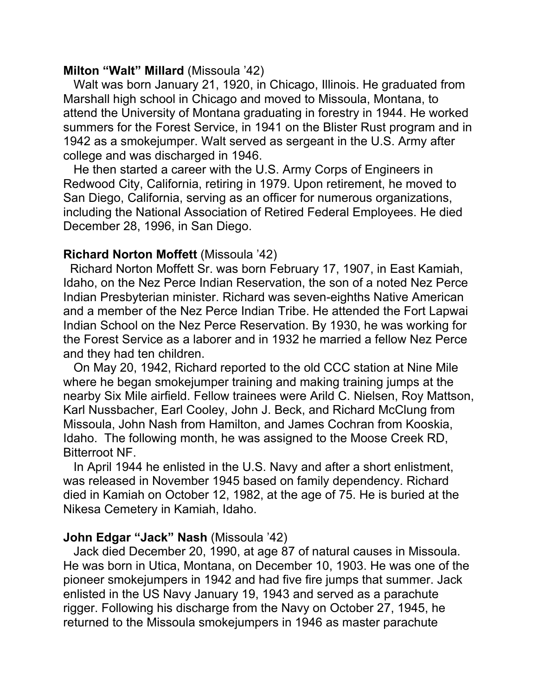### **Milton "Walt" Millard** (Missoula '42)

 Walt was born January 21, 1920, in Chicago, Illinois. He graduated from Marshall high school in Chicago and moved to Missoula, Montana, to attend the University of Montana graduating in forestry in 1944. He worked summers for the Forest Service, in 1941 on the Blister Rust program and in 1942 as a smokejumper. Walt served as sergeant in the U.S. Army after college and was discharged in 1946.

 He then started a career with the U.S. Army Corps of Engineers in Redwood City, California, retiring in 1979. Upon retirement, he moved to San Diego, California, serving as an officer for numerous organizations, including the National Association of Retired Federal Employees. He died December 28, 1996, in San Diego.

## **Richard Norton Moffett** (Missoula '42)

 Richard Norton Moffett Sr. was born February 17, 1907, in East Kamiah, Idaho, on the Nez Perce Indian Reservation, the son of a noted Nez Perce Indian Presbyterian minister. Richard was seven-eighths Native American and a member of the Nez Perce Indian Tribe. He attended the Fort Lapwai Indian School on the Nez Perce Reservation. By 1930, he was working for the Forest Service as a laborer and in 1932 he married a fellow Nez Perce and they had ten children.

 On May 20, 1942, Richard reported to the old CCC station at Nine Mile where he began smokejumper training and making training jumps at the nearby Six Mile airfield. Fellow trainees were Arild C. Nielsen, Roy Mattson, Karl Nussbacher, Earl Cooley, John J. Beck, and Richard McClung from Missoula, John Nash from Hamilton, and James Cochran from Kooskia, Idaho. The following month, he was assigned to the Moose Creek RD, Bitterroot NF.

 In April 1944 he enlisted in the U.S. Navy and after a short enlistment, was released in November 1945 based on family dependency. Richard died in Kamiah on October 12, 1982, at the age of 75. He is buried at the Nikesa Cemetery in Kamiah, Idaho.

## **John Edgar "Jack" Nash** (Missoula '42)

 Jack died December 20, 1990, at age 87 of natural causes in Missoula. He was born in Utica, Montana, on December 10, 1903. He was one of the pioneer smokejumpers in 1942 and had five fire jumps that summer. Jack enlisted in the US Navy January 19, 1943 and served as a parachute rigger. Following his discharge from the Navy on October 27, 1945, he returned to the Missoula smokejumpers in 1946 as master parachute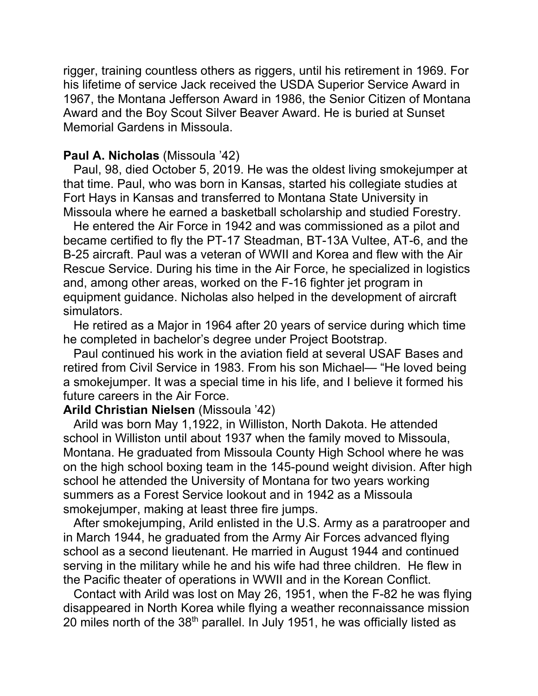rigger, training countless others as riggers, until his retirement in 1969. For his lifetime of service Jack received the USDA Superior Service Award in 1967, the Montana Jefferson Award in 1986, the Senior Citizen of Montana Award and the Boy Scout Silver Beaver Award. He is buried at Sunset Memorial Gardens in Missoula.

#### **Paul A. Nicholas** (Missoula '42)

 Paul, 98, died October 5, 2019. He was the oldest living smokejumper at that time. Paul, who was born in Kansas, started his collegiate studies at Fort Hays in Kansas and transferred to Montana State University in Missoula where he earned a basketball scholarship and studied Forestry.

 He entered the Air Force in 1942 and was commissioned as a pilot and became certified to fly the PT-17 Steadman, BT-13A Vultee, AT-6, and the B-25 aircraft. Paul was a veteran of WWII and Korea and flew with the Air Rescue Service. During his time in the Air Force, he specialized in logistics and, among other areas, worked on the F-16 fighter jet program in equipment guidance. Nicholas also helped in the development of aircraft simulators.

 He retired as a Major in 1964 after 20 years of service during which time he completed in bachelor's degree under Project Bootstrap.

 Paul continued his work in the aviation field at several USAF Bases and retired from Civil Service in 1983. From his son Michael— "He loved being a smokejumper. It was a special time in his life, and I believe it formed his future careers in the Air Force.

### **Arild Christian Nielsen** (Missoula '42)

 Arild was born May 1,1922, in Williston, North Dakota. He attended school in Williston until about 1937 when the family moved to Missoula, Montana. He graduated from Missoula County High School where he was on the high school boxing team in the 145-pound weight division. After high school he attended the University of Montana for two years working summers as a Forest Service lookout and in 1942 as a Missoula smokejumper, making at least three fire jumps.

 After smokejumping, Arild enlisted in the U.S. Army as a paratrooper and in March 1944, he graduated from the Army Air Forces advanced flying school as a second lieutenant. He married in August 1944 and continued serving in the military while he and his wife had three children. He flew in the Pacific theater of operations in WWII and in the Korean Conflict.

 Contact with Arild was lost on May 26, 1951, when the F-82 he was flying disappeared in North Korea while flying a weather reconnaissance mission 20 miles north of the 38th parallel. In July 1951, he was officially listed as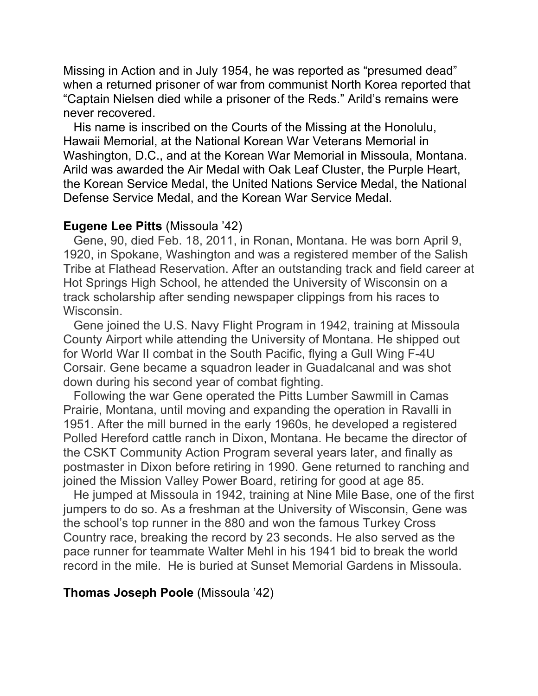Missing in Action and in July 1954, he was reported as "presumed dead" when a returned prisoner of war from communist North Korea reported that "Captain Nielsen died while a prisoner of the Reds." Arild's remains were never recovered.

 His name is inscribed on the Courts of the Missing at the Honolulu, Hawaii Memorial, at the National Korean War Veterans Memorial in Washington, D.C., and at the Korean War Memorial in Missoula, Montana. Arild was awarded the Air Medal with Oak Leaf Cluster, the Purple Heart, the Korean Service Medal, the United Nations Service Medal, the National Defense Service Medal, and the Korean War Service Medal.

### **Eugene Lee Pitts** (Missoula '42)

 Gene, 90, died Feb. 18, 2011, in Ronan, Montana. He was born April 9, 1920, in Spokane, Washington and was a registered member of the Salish Tribe at Flathead Reservation. After an outstanding track and field career at Hot Springs High School, he attended the University of Wisconsin on a track scholarship after sending newspaper clippings from his races to Wisconsin.

 Gene joined the U.S. Navy Flight Program in 1942, training at Missoula County Airport while attending the University of Montana. He shipped out for World War II combat in the South Pacific, flying a Gull Wing F-4U Corsair. Gene became a squadron leader in Guadalcanal and was shot down during his second year of combat fighting.

 Following the war Gene operated the Pitts Lumber Sawmill in Camas Prairie, Montana, until moving and expanding the operation in Ravalli in 1951. After the mill burned in the early 1960s, he developed a registered Polled Hereford cattle ranch in Dixon, Montana. He became the director of the CSKT Community Action Program several years later, and finally as postmaster in Dixon before retiring in 1990. Gene returned to ranching and joined the Mission Valley Power Board, retiring for good at age 85.

 He jumped at Missoula in 1942, training at Nine Mile Base, one of the first jumpers to do so. As a freshman at the University of Wisconsin, Gene was the school's top runner in the 880 and won the famous Turkey Cross Country race, breaking the record by 23 seconds. He also served as the pace runner for teammate Walter Mehl in his 1941 bid to break the world record in the mile. He is buried at Sunset Memorial Gardens in Missoula.

### **Thomas Joseph Poole** (Missoula '42)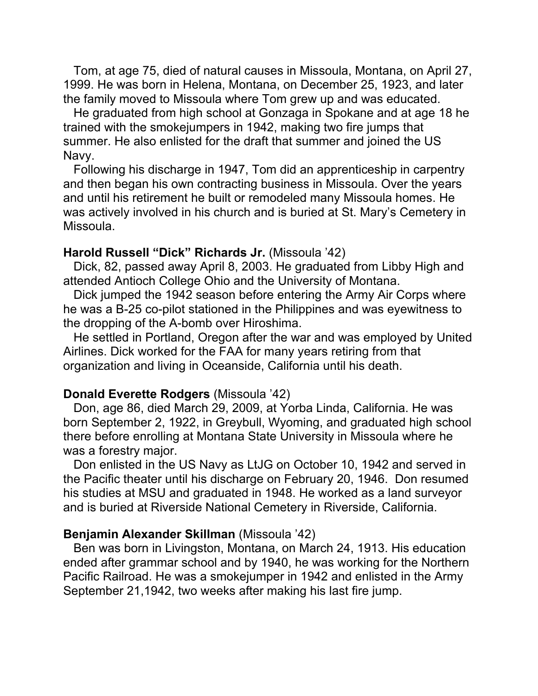Tom, at age 75, died of natural causes in Missoula, Montana, on April 27, 1999. He was born in Helena, Montana, on December 25, 1923, and later the family moved to Missoula where Tom grew up and was educated.

 He graduated from high school at Gonzaga in Spokane and at age 18 he trained with the smokejumpers in 1942, making two fire jumps that summer. He also enlisted for the draft that summer and joined the US Navy.

 Following his discharge in 1947, Tom did an apprenticeship in carpentry and then began his own contracting business in Missoula. Over the years and until his retirement he built or remodeled many Missoula homes. He was actively involved in his church and is buried at St. Mary's Cemetery in Missoula.

## **Harold Russell "Dick" Richards Jr.** (Missoula '42)

 Dick, 82, passed away April 8, 2003. He graduated from Libby High and attended Antioch College Ohio and the University of Montana.

 Dick jumped the 1942 season before entering the Army Air Corps where he was a B-25 co-pilot stationed in the Philippines and was eyewitness to the dropping of the A-bomb over Hiroshima.

 He settled in Portland, Oregon after the war and was employed by United Airlines. Dick worked for the FAA for many years retiring from that organization and living in Oceanside, California until his death.

#### **Donald Everette Rodgers** (Missoula '42)

 Don, age 86, died March 29, 2009, at Yorba Linda, California. He was born September 2, 1922, in Greybull, Wyoming, and graduated high school there before enrolling at Montana State University in Missoula where he was a forestry major.

 Don enlisted in the US Navy as LtJG on October 10, 1942 and served in the Pacific theater until his discharge on February 20, 1946. Don resumed his studies at MSU and graduated in 1948. He worked as a land surveyor and is buried at Riverside National Cemetery in Riverside, California.

#### **Benjamin Alexander Skillman** (Missoula '42)

 Ben was born in Livingston, Montana, on March 24, 1913. His education ended after grammar school and by 1940, he was working for the Northern Pacific Railroad. He was a smokejumper in 1942 and enlisted in the Army September 21,1942, two weeks after making his last fire jump.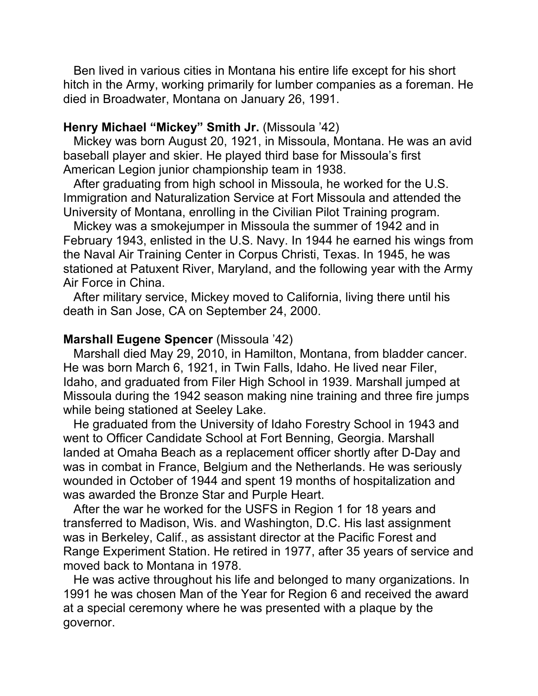Ben lived in various cities in Montana his entire life except for his short hitch in the Army, working primarily for lumber companies as a foreman. He died in Broadwater, Montana on January 26, 1991.

### **Henry Michael "Mickey" Smith Jr.** (Missoula '42)

 Mickey was born August 20, 1921, in Missoula, Montana. He was an avid baseball player and skier. He played third base for Missoula's first American Legion junior championship team in 1938.

 After graduating from high school in Missoula, he worked for the U.S. Immigration and Naturalization Service at Fort Missoula and attended the University of Montana, enrolling in the Civilian Pilot Training program.

 Mickey was a smokejumper in Missoula the summer of 1942 and in February 1943, enlisted in the U.S. Navy. In 1944 he earned his wings from the Naval Air Training Center in Corpus Christi, Texas. In 1945, he was stationed at Patuxent River, Maryland, and the following year with the Army Air Force in China.

 After military service, Mickey moved to California, living there until his death in San Jose, CA on September 24, 2000.

#### **Marshall Eugene Spencer** (Missoula '42)

 Marshall died May 29, 2010, in Hamilton, Montana, from bladder cancer. He was born March 6, 1921, in Twin Falls, Idaho. He lived near Filer, Idaho, and graduated from Filer High School in 1939. Marshall jumped at Missoula during the 1942 season making nine training and three fire jumps while being stationed at Seeley Lake.

 He graduated from the University of Idaho Forestry School in 1943 and went to Officer Candidate School at Fort Benning, Georgia. Marshall landed at Omaha Beach as a replacement officer shortly after D-Day and was in combat in France, Belgium and the Netherlands. He was seriously wounded in October of 1944 and spent 19 months of hospitalization and was awarded the Bronze Star and Purple Heart.

 After the war he worked for the USFS in Region 1 for 18 years and transferred to Madison, Wis. and Washington, D.C. His last assignment was in Berkeley, Calif., as assistant director at the Pacific Forest and Range Experiment Station. He retired in 1977, after 35 years of service and moved back to Montana in 1978.

 He was active throughout his life and belonged to many organizations. In 1991 he was chosen Man of the Year for Region 6 and received the award at a special ceremony where he was presented with a plaque by the governor.